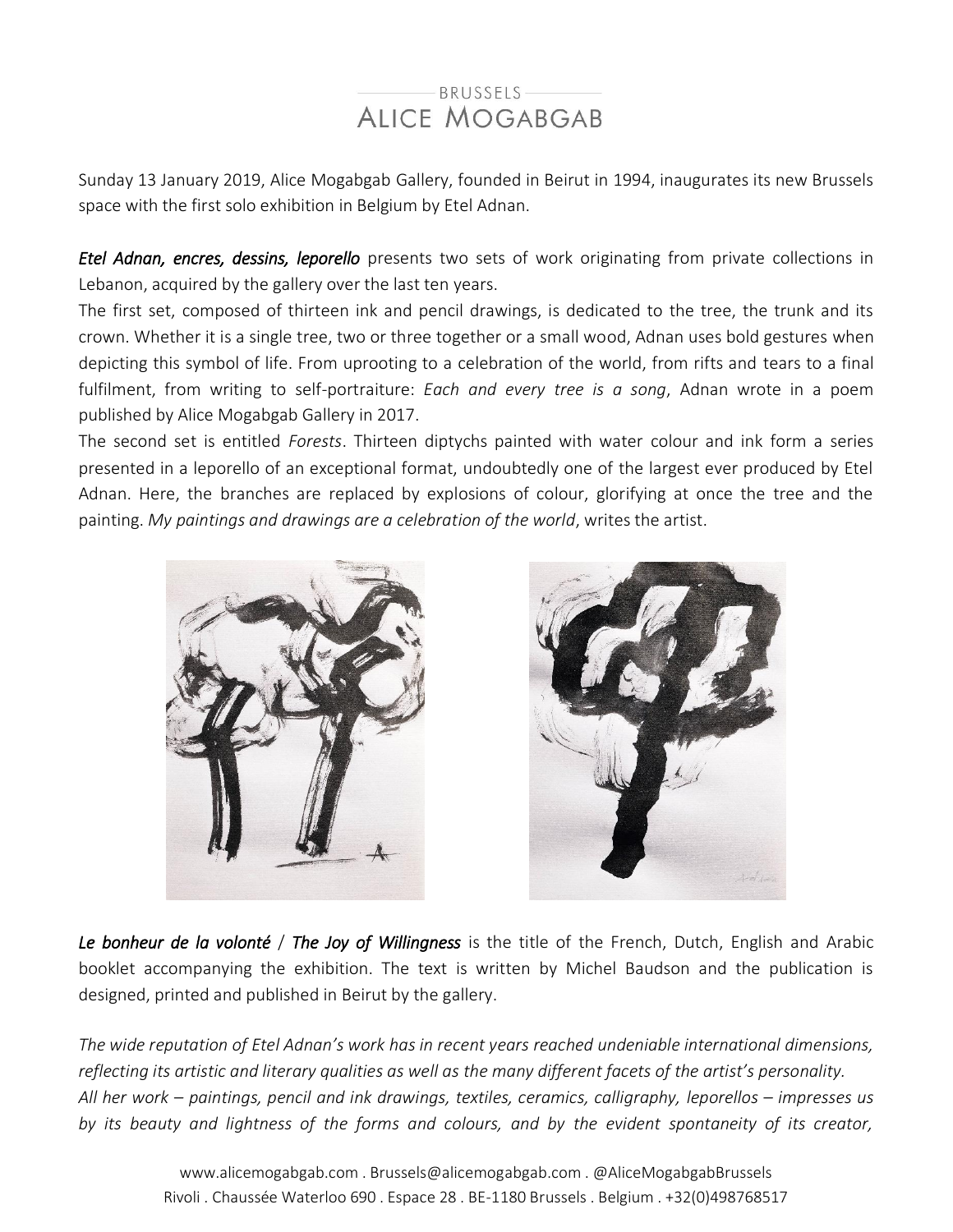## BRUSSELS **ALICE MOGABGAB**

Sunday 13 January 2019, Alice Mogabgab Gallery, founded in Beirut in 1994, inaugurates its new Brussels space with the first solo exhibition in Belgium by Etel Adnan.

*Etel Adnan, encres, dessins, leporello* presents two sets of work originating from private collections in Lebanon, acquired by the gallery over the last ten years.

The first set, composed of thirteen ink and pencil drawings, is dedicated to the tree, the trunk and its crown. Whether it is a single tree, two or three together or a small wood, Adnan uses bold gestures when depicting this symbol of life. From uprooting to a celebration of the world, from rifts and tears to a final fulfilment, from writing to self-portraiture: *Each and every tree is a song*, Adnan wrote in a poem published by Alice Mogabgab Gallery in 2017.

The second set is entitled *Forests*. Thirteen diptychs painted with water colour and ink form a series presented in a leporello of an exceptional format, undoubtedly one of the largest ever produced by Etel Adnan. Here, the branches are replaced by explosions of colour, glorifying at once the tree and the painting. *My paintings and drawings are a celebration of the world*, writes the artist.





*Le bonheur de la volonté* / *The Joy of Willingness* is the title of the French, Dutch, English and Arabic booklet accompanying the exhibition. The text is written by Michel Baudson and the publication is designed, printed and published in Beirut by the gallery.

*The wide reputation of Etel Adnan's work has in recent years reached undeniable international dimensions, reflecting its artistic and literary qualities as well as the many different facets of the artist's personality. All her work – paintings, pencil and ink drawings, textiles, ceramics, calligraphy, leporellos – impresses us by its beauty and lightness of the forms and colours, and by the evident spontaneity of its creator,*